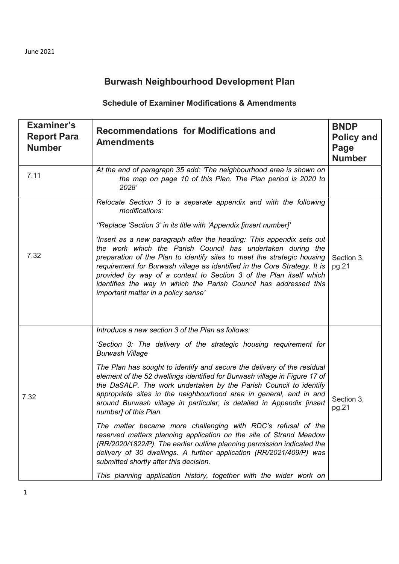## Burwash Neighbourhood Development Plan

## Schedule of Examiner Modifications & Amendments

| <b>Examiner's</b><br><b>Report Para</b><br><b>Number</b> | <b>Recommendations for Modifications and</b><br><b>Amendments</b>                                                                                                                                                                                                                                                                                                                                                                                                                                                                                                                                                                                                                                                                                                                                                                                                                                                                                              | <b>BNDP</b><br><b>Policy and</b><br>Page<br><b>Number</b> |
|----------------------------------------------------------|----------------------------------------------------------------------------------------------------------------------------------------------------------------------------------------------------------------------------------------------------------------------------------------------------------------------------------------------------------------------------------------------------------------------------------------------------------------------------------------------------------------------------------------------------------------------------------------------------------------------------------------------------------------------------------------------------------------------------------------------------------------------------------------------------------------------------------------------------------------------------------------------------------------------------------------------------------------|-----------------------------------------------------------|
| 7.11                                                     | At the end of paragraph 35 add: 'The neighbourhood area is shown on<br>the map on page 10 of this Plan. The Plan period is 2020 to<br>2028'                                                                                                                                                                                                                                                                                                                                                                                                                                                                                                                                                                                                                                                                                                                                                                                                                    |                                                           |
| 7.32                                                     | Relocate Section 3 to a separate appendix and with the following<br>modifications:<br>"Replace 'Section 3' in its title with 'Appendix [insert number]'<br>'Insert as a new paragraph after the heading: 'This appendix sets out<br>the work which the Parish Council has undertaken during the<br>preparation of the Plan to identify sites to meet the strategic housing<br>requirement for Burwash village as identified in the Core Strategy. It is<br>provided by way of a context to Section 3 of the Plan itself which<br>identifies the way in which the Parish Council has addressed this<br>important matter in a policy sense'                                                                                                                                                                                                                                                                                                                      | Section 3,<br>pg.21                                       |
| 7.32                                                     | Introduce a new section 3 of the Plan as follows:<br>'Section 3: The delivery of the strategic housing requirement for<br><b>Burwash Village</b><br>The Plan has sought to identify and secure the delivery of the residual<br>element of the 52 dwellings identified for Burwash village in Figure 17 of<br>the DaSALP. The work undertaken by the Parish Council to identify<br>appropriate sites in the neighbourhood area in general, and in and<br>around Burwash village in particular, is detailed in Appendix [insert<br>number] of this Plan.<br>The matter became more challenging with RDC's refusal of the<br>reserved matters planning application on the site of Strand Meadow<br>(RR/2020/1822/P). The earlier outline planning permission indicated the<br>delivery of 30 dwellings. A further application (RR/2021/409/P) was<br>submitted shortly after this decision.<br>This planning application history, together with the wider work on | Section 3,<br>pg.21                                       |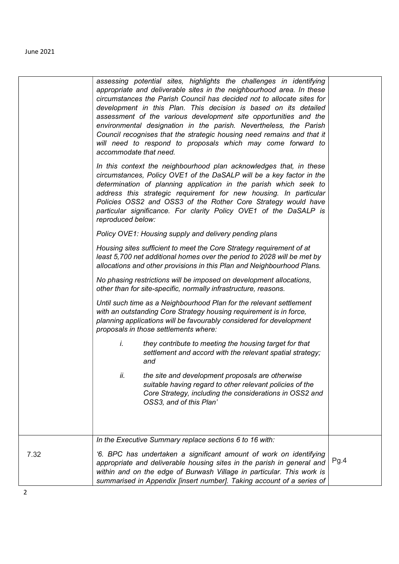|      | assessing potential sites, highlights the challenges in identifying<br>appropriate and deliverable sites in the neighbourhood area. In these<br>circumstances the Parish Council has decided not to allocate sites for<br>development in this Plan. This decision is based on its detailed<br>assessment of the various development site opportunities and the<br>environmental designation in the parish. Nevertheless, the Parish<br>Council recognises that the strategic housing need remains and that it<br>will need to respond to proposals which may come forward to<br>accommodate that need. |      |
|------|--------------------------------------------------------------------------------------------------------------------------------------------------------------------------------------------------------------------------------------------------------------------------------------------------------------------------------------------------------------------------------------------------------------------------------------------------------------------------------------------------------------------------------------------------------------------------------------------------------|------|
|      | In this context the neighbourhood plan acknowledges that, in these<br>circumstances, Policy OVE1 of the DaSALP will be a key factor in the<br>determination of planning application in the parish which seek to<br>address this strategic requirement for new housing. In particular<br>Policies OSS2 and OSS3 of the Rother Core Strategy would have<br>particular significance. For clarity Policy OVE1 of the DaSALP is<br>reproduced below:                                                                                                                                                        |      |
|      | Policy OVE1: Housing supply and delivery pending plans                                                                                                                                                                                                                                                                                                                                                                                                                                                                                                                                                 |      |
|      | Housing sites sufficient to meet the Core Strategy requirement of at<br>least 5,700 net additional homes over the period to 2028 will be met by<br>allocations and other provisions in this Plan and Neighbourhood Plans.                                                                                                                                                                                                                                                                                                                                                                              |      |
|      | No phasing restrictions will be imposed on development allocations,<br>other than for site-specific, normally infrastructure, reasons.                                                                                                                                                                                                                                                                                                                                                                                                                                                                 |      |
|      | Until such time as a Neighbourhood Plan for the relevant settlement<br>with an outstanding Core Strategy housing requirement is in force,<br>planning applications will be favourably considered for development<br>proposals in those settlements where:                                                                                                                                                                                                                                                                                                                                              |      |
|      | İ.<br>they contribute to meeting the housing target for that<br>settlement and accord with the relevant spatial strategy;<br>and                                                                                                                                                                                                                                                                                                                                                                                                                                                                       |      |
|      | the site and development proposals are otherwise<br>ii.<br>suitable having regard to other relevant policies of the<br>Core Strategy, including the considerations in OSS2 and<br>OSS3, and of this Plan'                                                                                                                                                                                                                                                                                                                                                                                              |      |
|      | In the Executive Summary replace sections 6 to 16 with:                                                                                                                                                                                                                                                                                                                                                                                                                                                                                                                                                |      |
| 7.32 | '6. BPC has undertaken a significant amount of work on identifying<br>appropriate and deliverable housing sites in the parish in general and<br>within and on the edge of Burwash Village in particular. This work is<br>summarised in Appendix [insert number]. Taking account of a series of                                                                                                                                                                                                                                                                                                         | Pg.4 |
|      |                                                                                                                                                                                                                                                                                                                                                                                                                                                                                                                                                                                                        |      |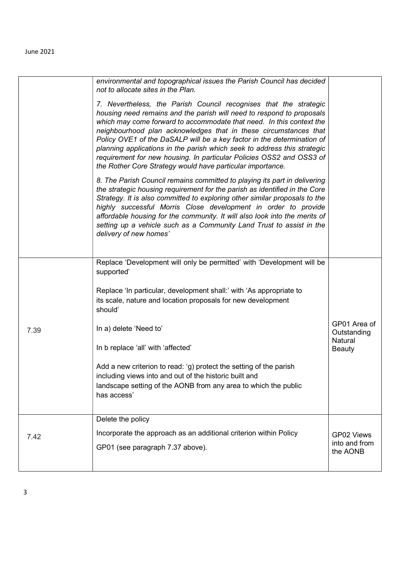|      | environmental and topographical issues the Parish Council has decided<br>not to allocate sites in the Plan.                                                                                                                                                                                                                                                                                                                                                                                                                                                                        |                                         |
|------|------------------------------------------------------------------------------------------------------------------------------------------------------------------------------------------------------------------------------------------------------------------------------------------------------------------------------------------------------------------------------------------------------------------------------------------------------------------------------------------------------------------------------------------------------------------------------------|-----------------------------------------|
|      | 7. Nevertheless, the Parish Council recognises that the strategic<br>housing need remains and the parish will need to respond to proposals<br>which may come forward to accommodate that need. In this context the<br>neighbourhood plan acknowledges that in these circumstances that<br>Policy OVE1 of the DaSALP will be a key factor in the determination of<br>planning applications in the parish which seek to address this strategic<br>requirement for new housing. In particular Policies OSS2 and OSS3 of<br>the Rother Core Strategy would have particular importance. |                                         |
|      | 8. The Parish Council remains committed to playing its part in delivering<br>the strategic housing requirement for the parish as identified in the Core<br>Strategy. It is also committed to exploring other similar proposals to the<br>highly successful Morris Close development in order to provide<br>affordable housing for the community. It will also look into the merits of<br>setting up a vehicle such as a Community Land Trust to assist in the<br>delivery of new homes'                                                                                            |                                         |
|      | Replace 'Development will only be permitted' with 'Development will be<br>supported'                                                                                                                                                                                                                                                                                                                                                                                                                                                                                               |                                         |
|      | Replace 'In particular, development shall:' with 'As appropriate to<br>its scale, nature and location proposals for new development<br>should'                                                                                                                                                                                                                                                                                                                                                                                                                                     |                                         |
| 7.39 | In a) delete 'Need to'                                                                                                                                                                                                                                                                                                                                                                                                                                                                                                                                                             | GP01 Area of<br>Outstanding<br>Natural  |
|      | In b replace 'all' with 'affected'                                                                                                                                                                                                                                                                                                                                                                                                                                                                                                                                                 | <b>Beauty</b>                           |
|      | Add a new criterion to read: 'g) protect the setting of the parish<br>including views into and out of the historic built and<br>landscape setting of the AONB from any area to which the public<br>has access'                                                                                                                                                                                                                                                                                                                                                                     |                                         |
|      | Delete the policy                                                                                                                                                                                                                                                                                                                                                                                                                                                                                                                                                                  |                                         |
| 7.42 | Incorporate the approach as an additional criterion within Policy<br>GP01 (see paragraph 7.37 above).                                                                                                                                                                                                                                                                                                                                                                                                                                                                              | GP02 Views<br>into and from<br>the AONB |
|      |                                                                                                                                                                                                                                                                                                                                                                                                                                                                                                                                                                                    |                                         |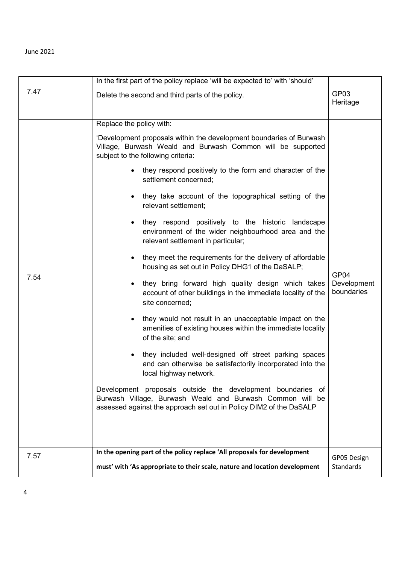|      | In the first part of the policy replace 'will be expected to' with 'should'                                                                                                                    |                           |
|------|------------------------------------------------------------------------------------------------------------------------------------------------------------------------------------------------|---------------------------|
| 7.47 | Delete the second and third parts of the policy.                                                                                                                                               | GP03<br>Heritage          |
|      | Replace the policy with:                                                                                                                                                                       |                           |
|      | 'Development proposals within the development boundaries of Burwash<br>Village, Burwash Weald and Burwash Common will be supported<br>subject to the following criteria:                       |                           |
|      | they respond positively to the form and character of the<br>$\bullet$<br>settlement concerned;                                                                                                 |                           |
| 7.54 | they take account of the topographical setting of the<br>$\bullet$<br>relevant settlement;                                                                                                     |                           |
|      | they respond positively to the historic landscape<br>$\bullet$<br>environment of the wider neighbourhood area and the<br>relevant settlement in particular;                                    |                           |
|      | they meet the requirements for the delivery of affordable<br>$\bullet$<br>housing as set out in Policy DHG1 of the DaSALP;                                                                     | GP04                      |
|      | they bring forward high quality design which takes<br>$\bullet$<br>account of other buildings in the immediate locality of the<br>site concerned;                                              | Development<br>boundaries |
|      | they would not result in an unacceptable impact on the<br>$\bullet$<br>amenities of existing houses within the immediate locality<br>of the site; and                                          |                           |
|      | they included well-designed off street parking spaces<br>$\bullet$<br>and can otherwise be satisfactorily incorporated into the<br>local highway network.                                      |                           |
|      | Development proposals outside the development boundaries of<br>Burwash Village, Burwash Weald and Burwash Common will be<br>assessed against the approach set out in Policy DIM2 of the DaSALP |                           |
|      |                                                                                                                                                                                                |                           |
| 7.57 | In the opening part of the policy replace 'All proposals for development                                                                                                                       | GP05 Design               |
|      | must' with 'As appropriate to their scale, nature and location development                                                                                                                     | Standards                 |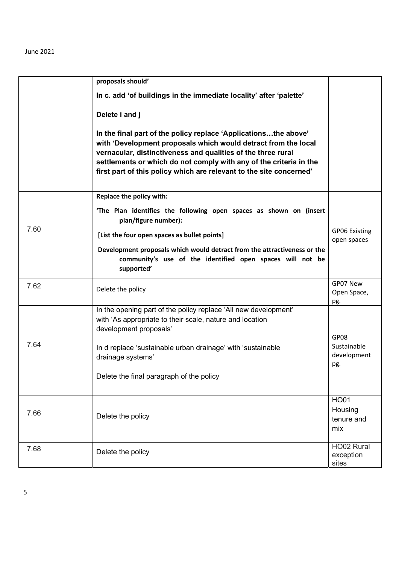|      | proposals should'                                                                                                                                                                                                                                                                                                                              |                                             |
|------|------------------------------------------------------------------------------------------------------------------------------------------------------------------------------------------------------------------------------------------------------------------------------------------------------------------------------------------------|---------------------------------------------|
|      | In c. add 'of buildings in the immediate locality' after 'palette'                                                                                                                                                                                                                                                                             |                                             |
|      | Delete i and j                                                                                                                                                                                                                                                                                                                                 |                                             |
|      | In the final part of the policy replace 'Applicationsthe above'<br>with 'Development proposals which would detract from the local<br>vernacular, distinctiveness and qualities of the three rural<br>settlements or which do not comply with any of the criteria in the<br>first part of this policy which are relevant to the site concerned' |                                             |
|      | Replace the policy with:                                                                                                                                                                                                                                                                                                                       |                                             |
|      | 'The Plan identifies the following open spaces as shown on (insert<br>plan/figure number):                                                                                                                                                                                                                                                     |                                             |
| 7.60 | [List the four open spaces as bullet points]                                                                                                                                                                                                                                                                                                   | <b>GP06 Existing</b><br>open spaces         |
|      | Development proposals which would detract from the attractiveness or the<br>community's use of the identified open spaces will not be<br>supported'                                                                                                                                                                                            |                                             |
| 7.62 | Delete the policy                                                                                                                                                                                                                                                                                                                              | GP07 New<br>Open Space,<br>pg.              |
|      | In the opening part of the policy replace 'All new development'<br>with 'As appropriate to their scale, nature and location<br>development proposals'                                                                                                                                                                                          |                                             |
| 7.64 | In d replace 'sustainable urban drainage' with 'sustainable<br>drainage systems'<br>Delete the final paragraph of the policy                                                                                                                                                                                                                   | GP08<br>Sustainable<br>development<br>pg.   |
| 7.66 | Delete the policy                                                                                                                                                                                                                                                                                                                              | <b>HO01</b><br>Housing<br>tenure and<br>mix |
| 7.68 | Delete the policy                                                                                                                                                                                                                                                                                                                              | HO02 Rural<br>exception<br>sites            |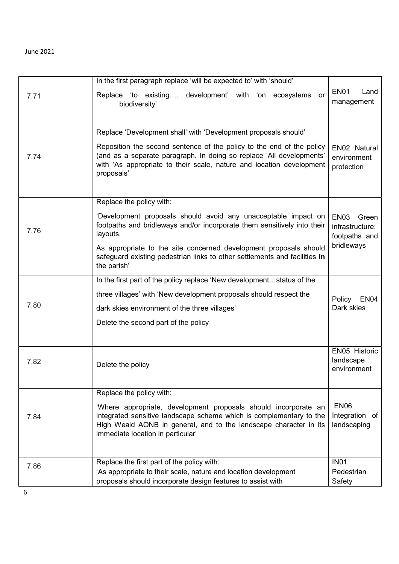|      | In the first paragraph replace 'will be expected to' with 'should'                                                                                                                                                                               |                                                                             |
|------|--------------------------------------------------------------------------------------------------------------------------------------------------------------------------------------------------------------------------------------------------|-----------------------------------------------------------------------------|
| 7.71 | Replace 'to existing development' with 'on ecosystems<br>or<br>biodiversity'                                                                                                                                                                     | EN <sub>01</sub><br>Land<br>management                                      |
|      | Replace 'Development shall' with 'Development proposals should'                                                                                                                                                                                  |                                                                             |
| 7.74 | Reposition the second sentence of the policy to the end of the policy<br>(and as a separate paragraph. In doing so replace 'All developments'<br>with 'As appropriate to their scale, nature and location development<br>proposals'              | EN02 Natural<br>environment<br>protection                                   |
|      | Replace the policy with:                                                                                                                                                                                                                         |                                                                             |
| 7.76 | 'Development proposals should avoid any unacceptable impact on<br>footpaths and bridleways and/or incorporate them sensitively into their<br>layouts.                                                                                            | EN <sub>03</sub><br>Green<br>infrastructure:<br>footpaths and<br>bridleways |
|      | As appropriate to the site concerned development proposals should<br>safeguard existing pedestrian links to other settlements and facilities in<br>the parish'                                                                                   |                                                                             |
|      | In the first part of the policy replace 'New developmentstatus of the                                                                                                                                                                            |                                                                             |
|      | three villages' with 'New development proposals should respect the                                                                                                                                                                               | Policy<br><b>EN04</b>                                                       |
| 7.80 | dark skies environment of the three villages'                                                                                                                                                                                                    | Dark skies                                                                  |
|      | Delete the second part of the policy                                                                                                                                                                                                             |                                                                             |
|      |                                                                                                                                                                                                                                                  | EN05 Historic                                                               |
| 7.82 | Delete the policy                                                                                                                                                                                                                                | landscape<br>environment                                                    |
|      | Replace the policy with:                                                                                                                                                                                                                         |                                                                             |
| 7.84 | 'Where appropriate, development proposals should incorporate an<br>integrated sensitive landscape scheme which is complementary to the<br>High Weald AONB in general, and to the landscape character in its<br>immediate location in particular' | <b>EN06</b><br>Integration of<br>landscaping                                |
|      | Replace the first part of the policy with:                                                                                                                                                                                                       | <b>IN01</b>                                                                 |
| 7.86 | 'As appropriate to their scale, nature and location development                                                                                                                                                                                  | Pedestrian                                                                  |
|      | proposals should incorporate design features to assist with                                                                                                                                                                                      | Safety                                                                      |

6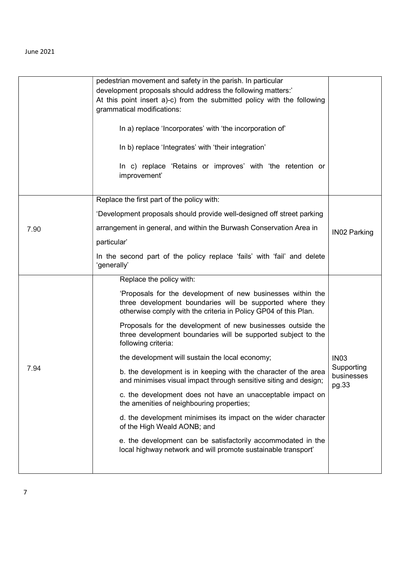|      | pedestrian movement and safety in the parish. In particular<br>development proposals should address the following matters:'<br>At this point insert a)-c) from the submitted policy with the following<br>grammatical modifications:<br>In a) replace 'Incorporates' with 'the incorporation of'<br>In b) replace 'Integrates' with 'their integration'<br>In c) replace 'Retains or improves' with 'the retention or<br>improvement' |                                                  |
|------|---------------------------------------------------------------------------------------------------------------------------------------------------------------------------------------------------------------------------------------------------------------------------------------------------------------------------------------------------------------------------------------------------------------------------------------|--------------------------------------------------|
|      | Replace the first part of the policy with:                                                                                                                                                                                                                                                                                                                                                                                            |                                                  |
|      | 'Development proposals should provide well-designed off street parking                                                                                                                                                                                                                                                                                                                                                                |                                                  |
| 7.90 | arrangement in general, and within the Burwash Conservation Area in<br>particular'                                                                                                                                                                                                                                                                                                                                                    | <b>IN02 Parking</b>                              |
|      | In the second part of the policy replace 'fails' with 'fail' and delete<br>'generally'                                                                                                                                                                                                                                                                                                                                                |                                                  |
|      | Replace the policy with:                                                                                                                                                                                                                                                                                                                                                                                                              |                                                  |
|      | 'Proposals for the development of new businesses within the<br>three development boundaries will be supported where they<br>otherwise comply with the criteria in Policy GP04 of this Plan.                                                                                                                                                                                                                                           |                                                  |
|      | Proposals for the development of new businesses outside the<br>three development boundaries will be supported subject to the<br>following criteria:                                                                                                                                                                                                                                                                                   |                                                  |
|      | the development will sustain the local economy;                                                                                                                                                                                                                                                                                                                                                                                       | <b>IN03</b><br>Supporting<br>businesses<br>pg.33 |
| 7.94 | b. the development is in keeping with the character of the area<br>and minimises visual impact through sensitive siting and design;                                                                                                                                                                                                                                                                                                   |                                                  |
|      | c. the development does not have an unacceptable impact on<br>the amenities of neighbouring properties;                                                                                                                                                                                                                                                                                                                               |                                                  |
|      | d. the development minimises its impact on the wider character<br>of the High Weald AONB; and                                                                                                                                                                                                                                                                                                                                         |                                                  |
|      | e. the development can be satisfactorily accommodated in the<br>local highway network and will promote sustainable transport'                                                                                                                                                                                                                                                                                                         |                                                  |
|      |                                                                                                                                                                                                                                                                                                                                                                                                                                       |                                                  |